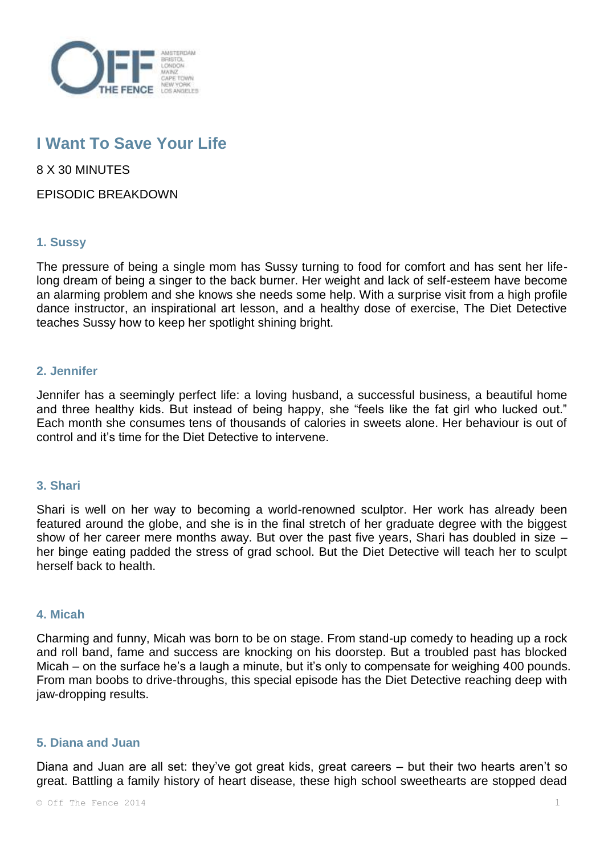

# **I Want To Save Your Life**

8 X 30 MINUTES

EPISODIC BREAKDOWN

# **1. Sussy**

The pressure of being a single mom has Sussy turning to food for comfort and has sent her lifelong dream of being a singer to the back burner. Her weight and lack of self-esteem have become an alarming problem and she knows she needs some help. With a surprise visit from a high profile dance instructor, an inspirational art lesson, and a healthy dose of exercise, The Diet Detective teaches Sussy how to keep her spotlight shining bright.

## **2. Jennifer**

Jennifer has a seemingly perfect life: a loving husband, a successful business, a beautiful home and three healthy kids. But instead of being happy, she "feels like the fat girl who lucked out." Each month she consumes tens of thousands of calories in sweets alone. Her behaviour is out of control and it's time for the Diet Detective to intervene.

#### **3. Shari**

Shari is well on her way to becoming a world-renowned sculptor. Her work has already been featured around the globe, and she is in the final stretch of her graduate degree with the biggest show of her career mere months away. But over the past five years, Shari has doubled in size – her binge eating padded the stress of grad school. But the Diet Detective will teach her to sculpt herself back to health.

#### **4. Micah**

Charming and funny, Micah was born to be on stage. From stand-up comedy to heading up a rock and roll band, fame and success are knocking on his doorstep. But a troubled past has blocked Micah – on the surface he's a laugh a minute, but it's only to compensate for weighing 400 pounds. From man boobs to drive-throughs, this special episode has the Diet Detective reaching deep with jaw-dropping results.

# **5. Diana and Juan**

Diana and Juan are all set: they've got great kids, great careers – but their two hearts aren't so great. Battling a family history of heart disease, these high school sweethearts are stopped dead